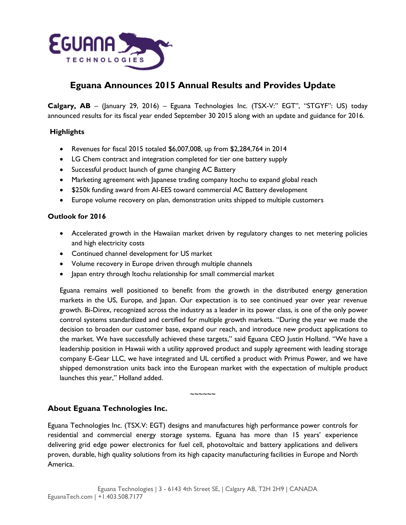

# **Eguana Announces 2015 Annual Results and Provides Update**

**Calgary, AB** – (January 29, 2016) – Eguana Technologies Inc. (TSX-V:" EGT", "STGYF": US) today announced results for its fiscal year ended September 30 2015 along with an update and guidance for 2016.

# **Highlights**

- Revenues for fiscal 2015 totaled \$6,007,008, up from \$2,284,764 in 2014
- LG Chem contract and integration completed for tier one battery supply
- Successful product launch of game changing AC Battery
- Marketing agreement with Japanese trading company Itochu to expand global reach
- \$250k funding award from AI-EES toward commercial AC Battery development
- Europe volume recovery on plan, demonstration units shipped to multiple customers

### **Outlook for 2016**

- Accelerated growth in the Hawaiian market driven by regulatory changes to net metering policies and high electricity costs
- Continued channel development for US market
- Volume recovery in Europe driven through multiple channels
- Japan entry through Itochu relationship for small commercial market

Eguana remains well positioned to benefit from the growth in the distributed energy generation markets in the US, Europe, and Japan. Our expectation is to see continued year over year revenue growth. Bi-Direx, recognized across the industry as a leader in its power class, is one of the only power control systems standardized and certified for multiple growth markets. "During the year we made the decision to broaden our customer base, expand our reach, and introduce new product applications to the market. We have successfully achieved these targets," said Eguana CEO Justin Holland. "We have a leadership position in Hawaii with a utility approved product and supply agreement with leading storage company E-Gear LLC, we have integrated and UL certified a product with Primus Power, and we have shipped demonstration units back into the European market with the expectation of multiple product launches this year," Holland added.

 $\sim$  $\sim$  $\sim$  $\sim$  $\sim$ 

# **About Eguana Technologies Inc.**

Eguana Technologies Inc. (TSX.V: EGT) designs and manufactures high performance power controls for residential and commercial energy storage systems. Eguana has more than 15 years' experience delivering grid edge power electronics for fuel cell, photovoltaic and battery applications and delivers proven, durable, high quality solutions from its high capacity manufacturing facilities in Europe and North America.